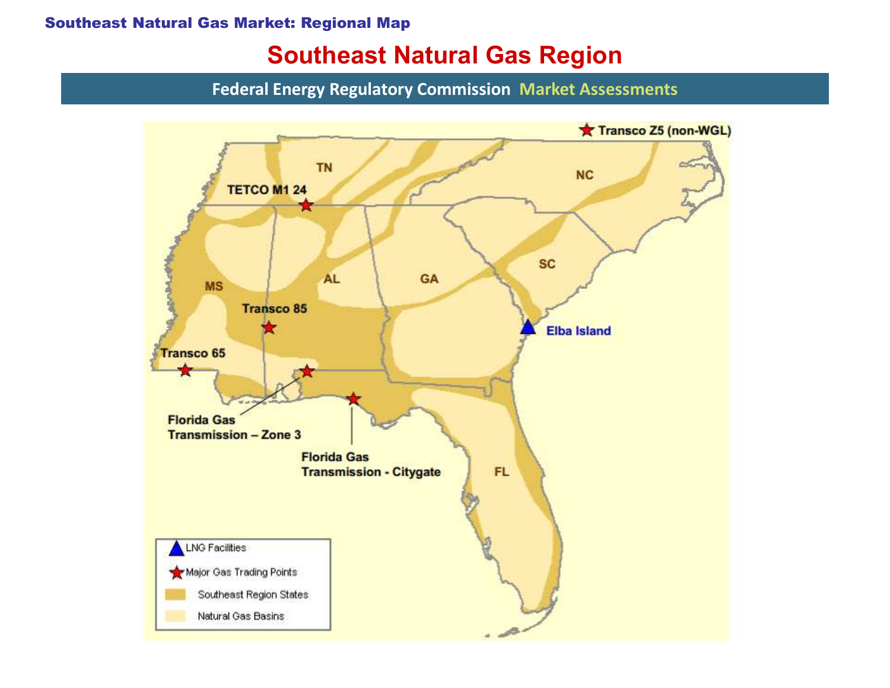#### Southeast Natural Gas Market: Regional Map

## Southeast Natural Gas Region

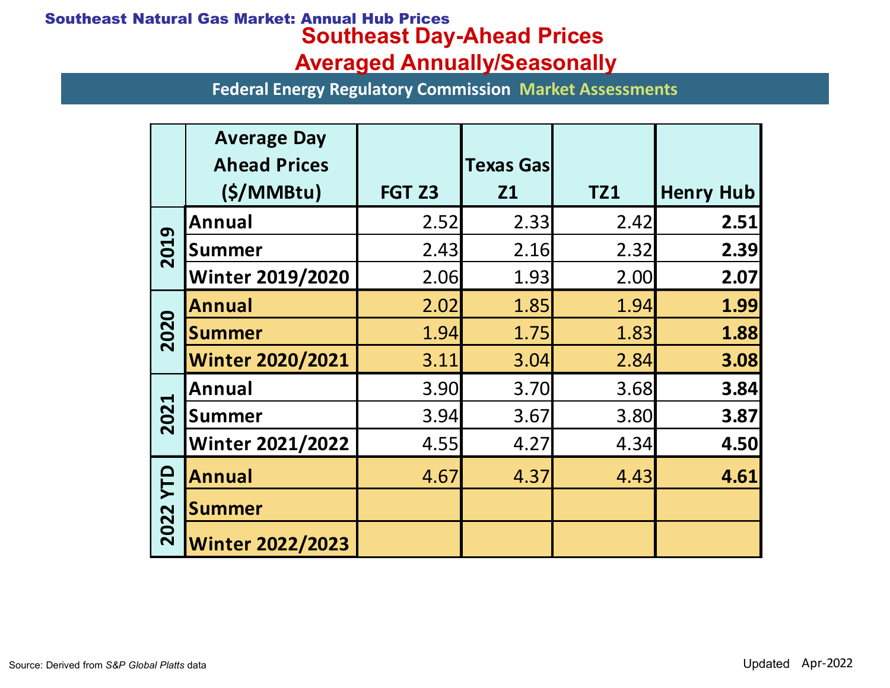## Southeast Day-Ahead Prices Averaged Annually/Seasonally Southeast Natural Gas Market: Annual Hub Prices

|                               | <b>Itural Gas Market: Annual Hub Prices</b><br><b>Southeast Day-Ahead Prices</b> |                                     |                  |            |                  |  |
|-------------------------------|----------------------------------------------------------------------------------|-------------------------------------|------------------|------------|------------------|--|
|                               |                                                                                  | <b>Averaged Annually/Seasonally</b> |                  |            |                  |  |
|                               | <b>Federal Energy Regulatory Commission Market Assessments</b>                   |                                     |                  |            |                  |  |
|                               | <b>Average Day</b>                                                               |                                     |                  |            |                  |  |
|                               | <b>Ahead Prices</b>                                                              |                                     | <b>Texas Gas</b> |            |                  |  |
|                               | (S/MM)                                                                           | FGT Z3                              | <b>Z1</b>        | <b>TZ1</b> | <b>Henry Hub</b> |  |
| 2019                          | Annual                                                                           | 2.52                                | 2.33             | 2.42       | 2.51             |  |
|                               | <b>Summer</b>                                                                    | 2.43                                | 2.16             | 2.32       | 2.39             |  |
|                               | <b>Winter 2019/2020</b>                                                          | 2.06                                | 1.93             | 2.00       | 2.07             |  |
| 2020                          | <b>Annual</b>                                                                    | 2.02                                | 1.85             | 1.94       | 1.99             |  |
|                               | <b>Summer</b>                                                                    | 1.94                                | 1.75             | 1.83       | 1.88             |  |
|                               | <b>Winter 2020/2021</b>                                                          | 3.11                                | 3.04             | 2.84       | 3.08             |  |
| 21<br>$\overline{\mathbf{S}}$ | Annual                                                                           | 3.90                                | 3.70             | 3.68       | 3.84             |  |
|                               | <b>Summer</b>                                                                    | 3.94                                | 3.67             | 3.80       | 3.87             |  |
|                               | <b>Winter 2021/2022</b>                                                          | 4.55                                | 4.27             | 4.34       | 4.50             |  |
| <b>TD</b>                     | <b>Annual</b>                                                                    | 4.67                                | 4.37             | 4.43       | 4.61             |  |
|                               | <b>Summer</b>                                                                    |                                     |                  |            |                  |  |
| 2022                          |                                                                                  |                                     |                  |            |                  |  |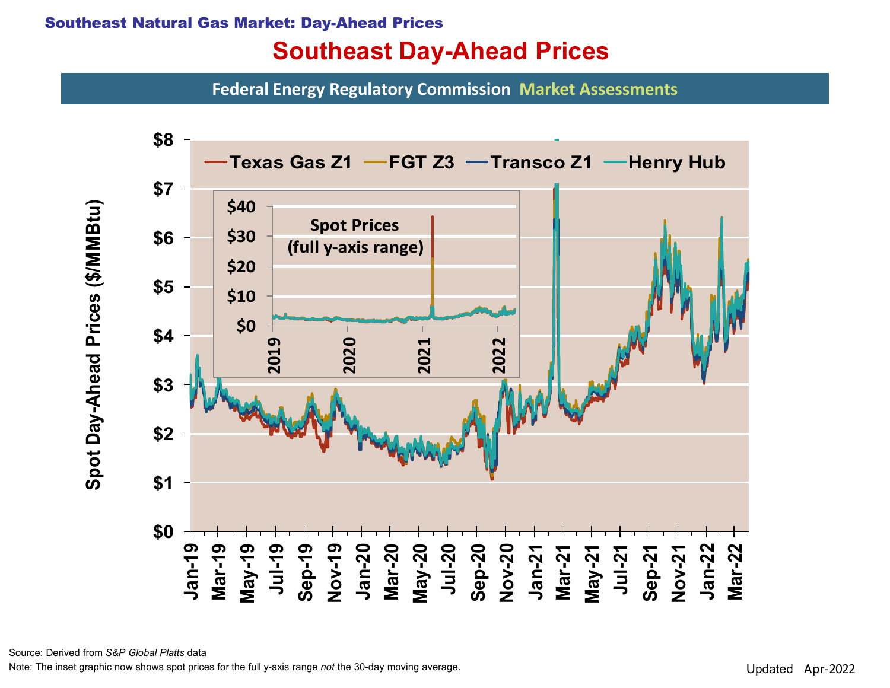#### Southeast Natural Gas Market: Day-Ahead Prices

# Southeast Day-Ahead Prices

Federal Energy Regulatory Commission Market Assessments



Source: Derived from S&P Global Platts data

Note: The inset graphic now shows spot prices for the full y-axis range not the 30-day moving average.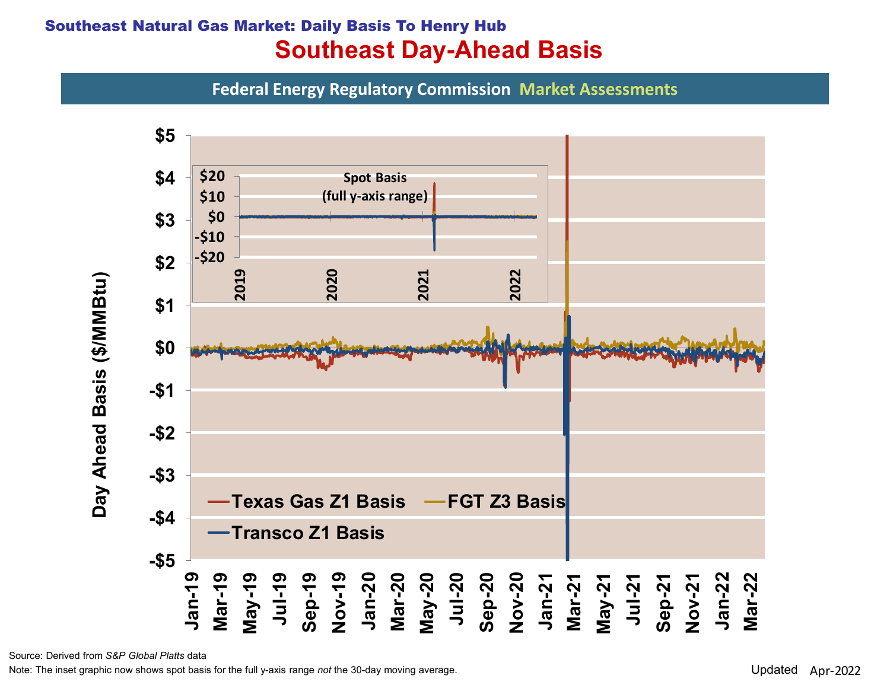### Southeast Natural Gas Market: Daily Basis To Henry Hub Southeast Day-Ahead Basis

Federal Energy Regulatory Commission Market Assessments



Source: Derived from S&P Global Platts data

Note: The inset graphic now shows spot basis for the full y-axis range not the 30-day moving average.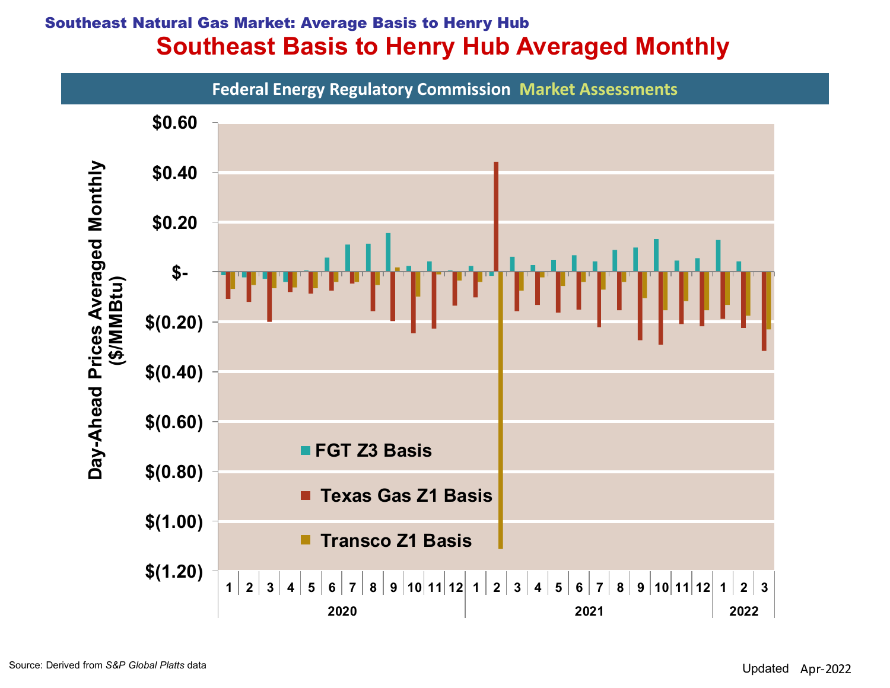## Southeast Natural Gas Market: Average Basis to Henry Hub Southeast Basis to Henry Hub Averaged Monthly

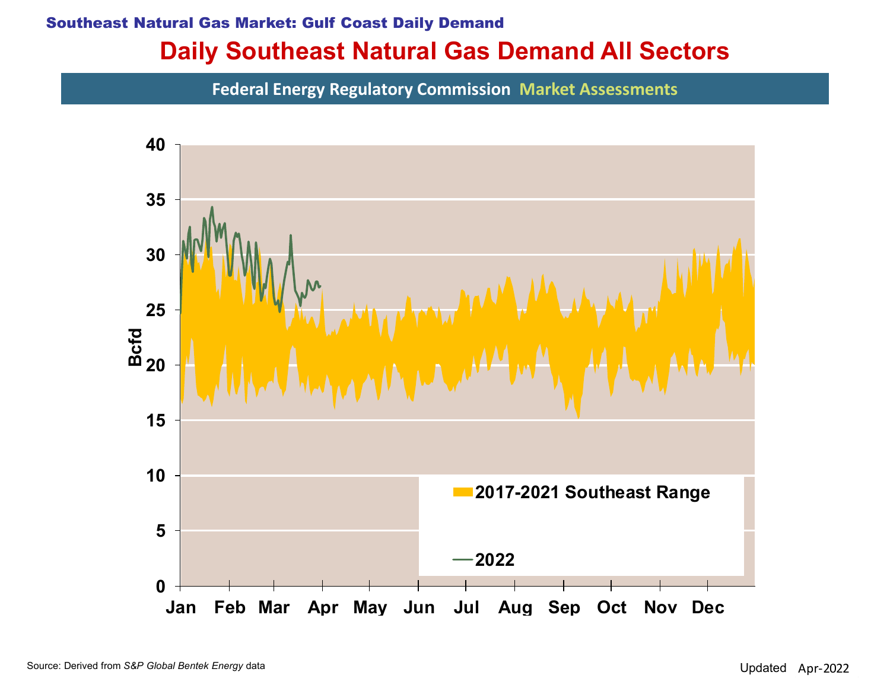## Daily Southeast Natural Gas Demand All Sectors Southeast Natural Gas Market: Gulf Coast Daily Demand